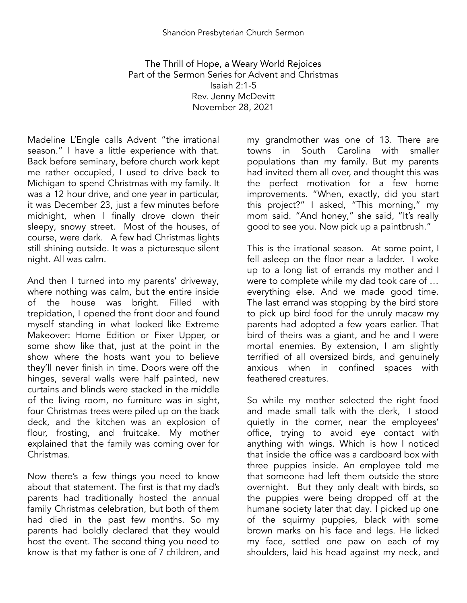The Thrill of Hope, a Weary World Rejoices Part of the Sermon Series for Advent and Christmas Isaiah 2:1-5 Rev. Jenny McDevitt November 28, 2021

Madeline L'Engle calls Advent "the irrational season." I have a little experience with that. Back before seminary, before church work kept me rather occupied, I used to drive back to Michigan to spend Christmas with my family. It was a 12 hour drive, and one year in particular, it was December 23, just a few minutes before midnight, when I finally drove down their sleepy, snowy street. Most of the houses, of course, were dark. A few had Christmas lights still shining outside. It was a picturesque silent night. All was calm.

And then I turned into my parents' driveway, where nothing was calm, but the entire inside of the house was bright. Filled with trepidation, I opened the front door and found myself standing in what looked like Extreme Makeover: Home Edition or Fixer Upper, or some show like that, just at the point in the show where the hosts want you to believe they'll never finish in time. Doors were off the hinges, several walls were half painted, new curtains and blinds were stacked in the middle of the living room, no furniture was in sight, four Christmas trees were piled up on the back deck, and the kitchen was an explosion of flour, frosting, and fruitcake. My mother explained that the family was coming over for Christmas.

Now there's a few things you need to know about that statement. The first is that my dad's parents had traditionally hosted the annual family Christmas celebration, but both of them had died in the past few months. So my parents had boldly declared that they would host the event. The second thing you need to know is that my father is one of 7 children, and

my grandmother was one of 13. There are towns in South Carolina with smaller populations than my family. But my parents had invited them all over, and thought this was the perfect motivation for a few home improvements. "When, exactly, did you start this project?" I asked, "This morning," my mom said. "And honey," she said, "It's really good to see you. Now pick up a paintbrush."

This is the irrational season. At some point, I fell asleep on the floor near a ladder. I woke up to a long list of errands my mother and I were to complete while my dad took care of … everything else. And we made good time. The last errand was stopping by the bird store to pick up bird food for the unruly macaw my parents had adopted a few years earlier. That bird of theirs was a giant, and he and I were mortal enemies. By extension, I am slightly terrified of all oversized birds, and genuinely anxious when in confined spaces with feathered creatures.

So while my mother selected the right food and made small talk with the clerk, I stood quietly in the corner, near the employees' office, trying to avoid eye contact with anything with wings. Which is how I noticed that inside the office was a cardboard box with three puppies inside. An employee told me that someone had left them outside the store overnight. But they only dealt with birds, so the puppies were being dropped off at the humane society later that day. I picked up one of the squirmy puppies, black with some brown marks on his face and legs. He licked my face, settled one paw on each of my shoulders, laid his head against my neck, and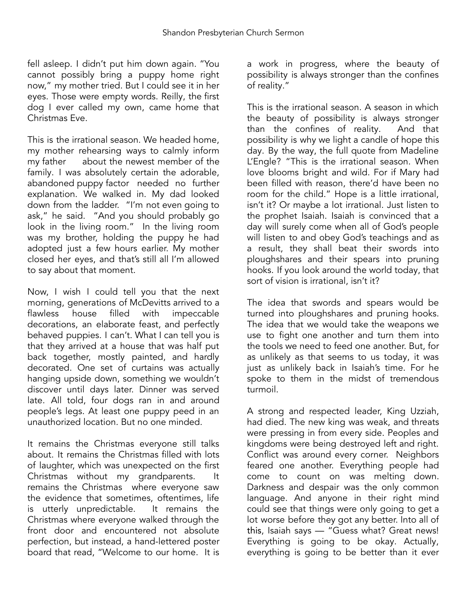fell asleep. I didn't put him down again. "You cannot possibly bring a puppy home right now," my mother tried. But I could see it in her eyes. Those were empty words. Reilly, the first dog I ever called my own, came home that Christmas Eve.

This is the irrational season. We headed home, my mother rehearsing ways to calmly inform my father about the newest member of the family. I was absolutely certain the adorable, abandoned puppy factor needed no further explanation. We walked in. My dad looked down from the ladder. "I'm not even going to ask," he said. "And you should probably go look in the living room." In the living room was my brother, holding the puppy he had adopted just a few hours earlier. My mother closed her eyes, and that's still all I'm allowed to say about that moment.

Now, I wish I could tell you that the next morning, generations of McDevitts arrived to a<br>flawless bouse filled with impeccable house filled with impeccable decorations, an elaborate feast, and perfectly behaved puppies. I can't. What I can tell you is that they arrived at a house that was half put back together, mostly painted, and hardly decorated. One set of curtains was actually hanging upside down, something we wouldn't discover until days later. Dinner was served late. All told, four dogs ran in and around people's legs. At least one puppy peed in an unauthorized location. But no one minded.

It remains the Christmas everyone still talks about. It remains the Christmas filled with lots of laughter, which was unexpected on the first Christmas without my grandparents. It remains the Christmas where everyone saw the evidence that sometimes, oftentimes, life is utterly unpredictable. It remains the Christmas where everyone walked through the front door and encountered not absolute perfection, but instead, a hand-lettered poster board that read, "Welcome to our home. It is

a work in progress, where the beauty of possibility is always stronger than the confines of reality."

This is the irrational season. A season in which the beauty of possibility is always stronger than the confines of reality. And that possibility is why we light a candle of hope this day. By the way, the full quote from Madeline L'Engle? "This is the irrational season. When love blooms bright and wild. For if Mary had been filled with reason, there'd have been no room for the child." Hope is a little irrational, isn't it? Or maybe a lot irrational. Just listen to the prophet Isaiah. Isaiah is convinced that a day will surely come when all of God's people will listen to and obey God's teachings and as a result, they shall beat their swords into ploughshares and their spears into pruning hooks. If you look around the world today, that sort of vision is irrational, isn't it?

The idea that swords and spears would be turned into ploughshares and pruning hooks. The idea that we would take the weapons we use to fight one another and turn them into the tools we need to feed one another. But, for as unlikely as that seems to us today, it was just as unlikely back in Isaiah's time. For he spoke to them in the midst of tremendous turmoil.

A strong and respected leader, King Uzziah, had died. The new king was weak, and threats were pressing in from every side. Peoples and kingdoms were being destroyed left and right. Conflict was around every corner. Neighbors feared one another. Everything people had come to count on was melting down. Darkness and despair was the only common language. And anyone in their right mind could see that things were only going to get a lot worse before they got any better. Into all of this, Isaiah says — "Guess what? Great news! Everything is going to be okay. Actually, everything is going to be better than it ever